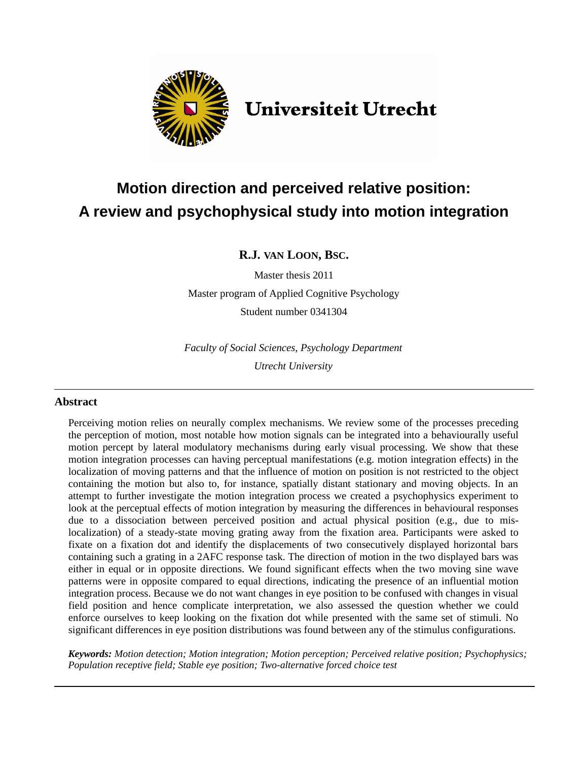

# **Universiteit Utrecht**

# **Motion direction and perceived relative position: A review and psychophysical study into motion integration**

### **R.J. VAN LOON, BSC.**

Master thesis 2011

Master program of Applied Cognitive Psychology Student number 0341304

*Faculty of Social Sciences, Psychology Department Utrecht University*

### **Abstract**

Perceiving motion relies on neurally complex mechanisms. We review some of the processes preceding the perception of motion, most notable how motion signals can be integrated into a behaviourally useful motion percept by lateral modulatory mechanisms during early visual processing. We show that these motion integration processes can having perceptual manifestations (e.g. motion integration effects) in the localization of moving patterns and that the influence of motion on position is not restricted to the object containing the motion but also to, for instance, spatially distant stationary and moving objects. In an attempt to further investigate the motion integration process we created a psychophysics experiment to look at the perceptual effects of motion integration by measuring the differences in behavioural responses due to a dissociation between perceived position and actual physical position (e.g., due to mislocalization) of a steady-state moving grating away from the fixation area. Participants were asked to fixate on a fixation dot and identify the displacements of two consecutively displayed horizontal bars containing such a grating in a 2AFC response task. The direction of motion in the two displayed bars was either in equal or in opposite directions. We found significant effects when the two moving sine wave patterns were in opposite compared to equal directions, indicating the presence of an influential motion integration process. Because we do not want changes in eye position to be confused with changes in visual field position and hence complicate interpretation, we also assessed the question whether we could enforce ourselves to keep looking on the fixation dot while presented with the same set of stimuli. No significant differences in eye position distributions was found between any of the stimulus configurations.

*Keywords: Motion detection; Motion integration; Motion perception; Perceived relative position; Psychophysics; Population receptive field; Stable eye position; Two-alternative forced choice test*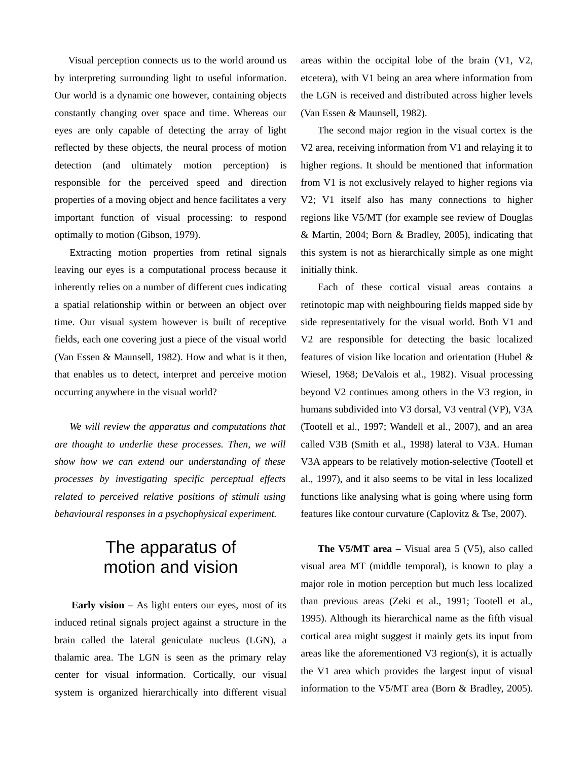Visual perception connects us to the world around us by interpreting surrounding light to useful information. Our world is a dynamic one however, containing objects constantly changing over space and time. Whereas our eyes are only capable of detecting the array of light reflected by these objects, the neural process of motion detection (and ultimately motion perception) is responsible for the perceived speed and direction properties of a moving object and hence facilitates a very important function of visual processing: to respond optimally to motion (Gibson, 1979).

Extracting motion properties from retinal signals leaving our eyes is a computational process because it inherently relies on a number of different cues indicating a spatial relationship within or between an object over time. Our visual system however is built of receptive fields, each one covering just a piece of the visual world (Van Essen & Maunsell, 1982). How and what is it then, that enables us to detect, interpret and perceive motion occurring anywhere in the visual world?

*We will review the apparatus and computations that are thought to underlie these processes. Then, we will show how we can extend our understanding of these processes by investigating specific perceptual effects related to perceived relative positions of stimuli using behavioural responses in a psychophysical experiment.*

## The apparatus of motion and vision

**Early vision –** As light enters our eyes, most of its induced retinal signals project against a structure in the brain called the lateral geniculate nucleus (LGN), a thalamic area. The LGN is seen as the primary relay center for visual information. Cortically, our visual system is organized hierarchically into different visual

areas within the occipital lobe of the brain (V1, V2, etcetera), with V1 being an area where information from the LGN is received and distributed across higher levels (Van Essen & Maunsell, 1982).

The second major region in the visual cortex is the V2 area, receiving information from V1 and relaying it to higher regions. It should be mentioned that information from V1 is not exclusively relayed to higher regions via V2; V1 itself also has many connections to higher regions like V5/MT (for example see review of Douglas & Martin, 2004; Born & Bradley, 2005), indicating that this system is not as hierarchically simple as one might initially think.

Each of these cortical visual areas contains a retinotopic map with neighbouring fields mapped side by side representatively for the visual world. Both V1 and V2 are responsible for detecting the basic localized features of vision like location and orientation (Hubel & Wiesel, 1968; DeValois et al., 1982). Visual processing beyond V2 continues among others in the V3 region, in humans subdivided into V3 dorsal, V3 ventral (VP), V3A (Tootell et al., 1997; Wandell et al., 2007), and an area called V3B (Smith et al., 1998) lateral to V3A. Human V3A appears to be relatively motion-selective (Tootell et al., 1997), and it also seems to be vital in less localized functions like analysing what is going where using form features like contour curvature (Caplovitz & Tse, 2007).

**The V5/MT area –** Visual area 5 (V5), also called visual area MT (middle temporal), is known to play a major role in motion perception but much less localized than previous areas (Zeki et al., 1991; Tootell et al., 1995). Although its hierarchical name as the fifth visual cortical area might suggest it mainly gets its input from areas like the aforementioned V3 region(s), it is actually the V1 area which provides the largest input of visual information to the V5/MT area (Born & Bradley, 2005).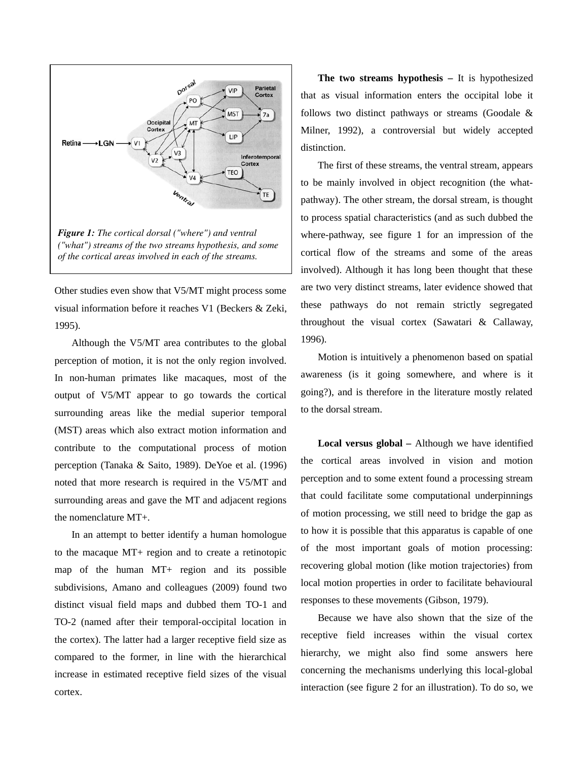

Other studies even show that V5/MT might process some visual information before it reaches V1 (Beckers & Zeki, 1995).

Although the V5/MT area contributes to the global perception of motion, it is not the only region involved. In non-human primates like macaques, most of the output of V5/MT appear to go towards the cortical surrounding areas like the medial superior temporal (MST) areas which also extract motion information and contribute to the computational process of motion perception (Tanaka & Saito, 1989). DeYoe et al. (1996) noted that more research is required in the V5/MT and surrounding areas and gave the MT and adjacent regions the nomenclature MT+.

In an attempt to better identify a human homologue to the macaque MT+ region and to create a retinotopic map of the human MT+ region and its possible subdivisions, Amano and colleagues (2009) found two distinct visual field maps and dubbed them TO-1 and TO-2 (named after their temporal-occipital location in the cortex). The latter had a larger receptive field size as compared to the former, in line with the hierarchical increase in estimated receptive field sizes of the visual cortex.

**The two streams hypothesis –** It is hypothesized that as visual information enters the occipital lobe it follows two distinct pathways or streams (Goodale & Milner, 1992), a controversial but widely accepted distinction.

The first of these streams, the ventral stream, appears to be mainly involved in object recognition (the whatpathway). The other stream, the dorsal stream, is thought to process spatial characteristics (and as such dubbed the where-pathway, see figure 1 for an impression of the cortical flow of the streams and some of the areas involved). Although it has long been thought that these are two very distinct streams, later evidence showed that these pathways do not remain strictly segregated throughout the visual cortex (Sawatari & Callaway, 1996).

Motion is intuitively a phenomenon based on spatial awareness (is it going somewhere, and where is it going?), and is therefore in the literature mostly related to the dorsal stream.

**Local versus global –** Although we have identified the cortical areas involved in vision and motion perception and to some extent found a processing stream that could facilitate some computational underpinnings of motion processing, we still need to bridge the gap as to how it is possible that this apparatus is capable of one of the most important goals of motion processing: recovering global motion (like motion trajectories) from local motion properties in order to facilitate behavioural responses to these movements (Gibson, 1979).

Because we have also shown that the size of the receptive field increases within the visual cortex hierarchy, we might also find some answers here concerning the mechanisms underlying this local-global interaction (see figure 2 for an illustration). To do so, we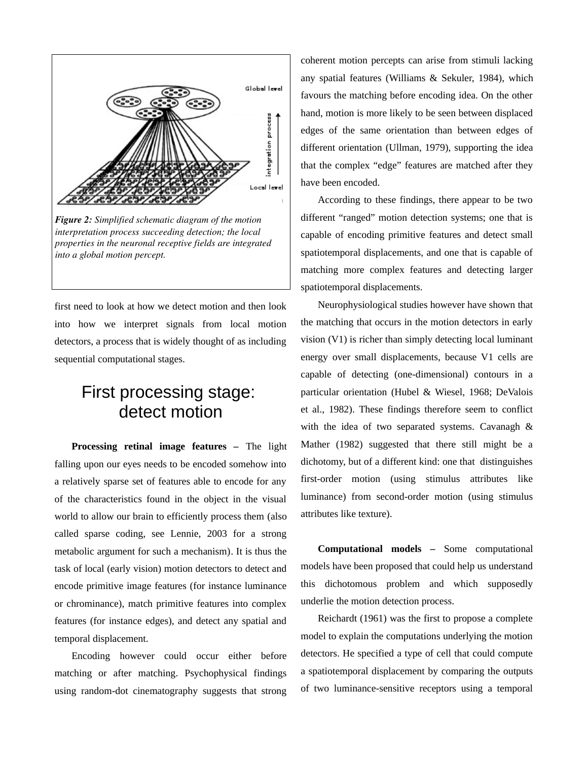

*Figure 2: Simplified schematic diagram of the motion interpretation process succeeding detection; the local properties in the neuronal receptive fields are integrated into a global motion percept.*

first need to look at how we detect motion and then look into how we interpret signals from local motion detectors, a process that is widely thought of as including sequential computational stages.

# First processing stage: detect motion

**Processing retinal image features –** The light falling upon our eyes needs to be encoded somehow into a relatively sparse set of features able to encode for any of the characteristics found in the object in the visual world to allow our brain to efficiently process them (also called sparse coding, see Lennie, 2003 for a strong metabolic argument for such a mechanism). It is thus the task of local (early vision) motion detectors to detect and encode primitive image features (for instance luminance or chrominance), match primitive features into complex features (for instance edges), and detect any spatial and temporal displacement.

Encoding however could occur either before matching or after matching. Psychophysical findings using random-dot cinematography suggests that strong coherent motion percepts can arise from stimuli lacking any spatial features (Williams & Sekuler, 1984), which favours the matching before encoding idea. On the other hand, motion is more likely to be seen between displaced edges of the same orientation than between edges of different orientation (Ullman, 1979), supporting the idea that the complex "edge" features are matched after they have been encoded.

According to these findings, there appear to be two different "ranged" motion detection systems; one that is capable of encoding primitive features and detect small spatiotemporal displacements, and one that is capable of matching more complex features and detecting larger spatiotemporal displacements.

Neurophysiological studies however have shown that the matching that occurs in the motion detectors in early vision (V1) is richer than simply detecting local luminant energy over small displacements, because V1 cells are capable of detecting (one-dimensional) contours in a particular orientation (Hubel & Wiesel, 1968; DeValois et al., 1982). These findings therefore seem to conflict with the idea of two separated systems. Cavanagh & Mather (1982) suggested that there still might be a dichotomy, but of a different kind: one that distinguishes first-order motion (using stimulus attributes like luminance) from second-order motion (using stimulus attributes like texture).

**Computational models –** Some computational models have been proposed that could help us understand this dichotomous problem and which supposedly underlie the motion detection process.

Reichardt (1961) was the first to propose a complete model to explain the computations underlying the motion detectors. He specified a type of cell that could compute a spatiotemporal displacement by comparing the outputs of two luminance-sensitive receptors using a temporal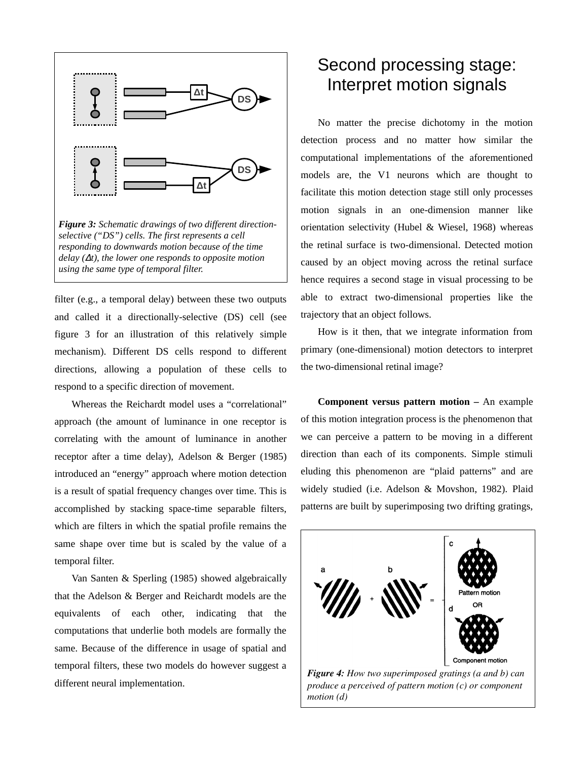

filter (e.g., a temporal delay) between these two outputs and called it a directionally-selective (DS) cell (see figure 3 for an illustration of this relatively simple mechanism). Different DS cells respond to different directions, allowing a population of these cells to respond to a specific direction of movement.

Whereas the Reichardt model uses a "correlational" approach (the amount of luminance in one receptor is correlating with the amount of luminance in another receptor after a time delay), Adelson & Berger (1985) introduced an "energy" approach where motion detection is a result of spatial frequency changes over time. This is accomplished by stacking space-time separable filters, which are filters in which the spatial profile remains the same shape over time but is scaled by the value of a temporal filter.

Van Santen & Sperling (1985) showed algebraically that the Adelson & Berger and Reichardt models are the equivalents of each other, indicating that the computations that underlie both models are formally the same. Because of the difference in usage of spatial and temporal filters, these two models do however suggest a different neural implementation.

# Second processing stage: Interpret motion signals

No matter the precise dichotomy in the motion detection process and no matter how similar the computational implementations of the aforementioned models are, the V1 neurons which are thought to facilitate this motion detection stage still only processes motion signals in an one-dimension manner like orientation selectivity (Hubel & Wiesel, 1968) whereas the retinal surface is two-dimensional. Detected motion caused by an object moving across the retinal surface hence requires a second stage in visual processing to be able to extract two-dimensional properties like the trajectory that an object follows.

How is it then, that we integrate information from primary (one-dimensional) motion detectors to interpret the two-dimensional retinal image?

**Component versus pattern motion –** An example of this motion integration process is the phenomenon that we can perceive a pattern to be moving in a different direction than each of its components. Simple stimuli eluding this phenomenon are "plaid patterns" and are widely studied (i.e. Adelson & Movshon, 1982). Plaid patterns are built by superimposing two drifting gratings,



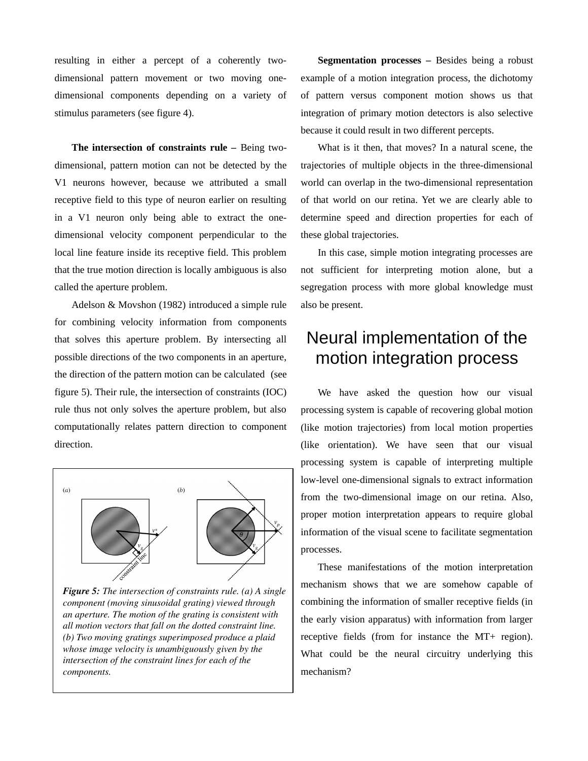resulting in either a percept of a coherently twodimensional pattern movement or two moving onedimensional components depending on a variety of stimulus parameters (see figure 4).

**The intersection of constraints rule –** Being twodimensional, pattern motion can not be detected by the V1 neurons however, because we attributed a small receptive field to this type of neuron earlier on resulting in a V1 neuron only being able to extract the onedimensional velocity component perpendicular to the local line feature inside its receptive field. This problem that the true motion direction is locally ambiguous is also called the aperture problem.

Adelson & Movshon (1982) introduced a simple rule for combining velocity information from components that solves this aperture problem. By intersecting all possible directions of the two components in an aperture, the direction of the pattern motion can be calculated (see figure 5). Their rule, the intersection of constraints (IOC) rule thus not only solves the aperture problem, but also computationally relates pattern direction to component direction.



*Figure 5: The intersection of constraints rule. (a) A single component (moving sinusoidal grating) viewed through an aperture. The motion of the grating is consistent with all motion vectors that fall on the dotted constraint line. (b) Two moving gratings superimposed produce a plaid whose image velocity is unambiguously given by the intersection of the constraint lines for each of the components.*

**Segmentation processes –** Besides being a robust example of a motion integration process, the dichotomy of pattern versus component motion shows us that integration of primary motion detectors is also selective because it could result in two different percepts.

What is it then, that moves? In a natural scene, the trajectories of multiple objects in the three-dimensional world can overlap in the two-dimensional representation of that world on our retina. Yet we are clearly able to determine speed and direction properties for each of these global trajectories.

In this case, simple motion integrating processes are not sufficient for interpreting motion alone, but a segregation process with more global knowledge must also be present.

# Neural implementation of the motion integration process

We have asked the question how our visual processing system is capable of recovering global motion (like motion trajectories) from local motion properties (like orientation). We have seen that our visual processing system is capable of interpreting multiple low-level one-dimensional signals to extract information from the two-dimensional image on our retina. Also, proper motion interpretation appears to require global information of the visual scene to facilitate segmentation processes.

These manifestations of the motion interpretation mechanism shows that we are somehow capable of combining the information of smaller receptive fields (in the early vision apparatus) with information from larger receptive fields (from for instance the MT+ region). What could be the neural circuitry underlying this mechanism?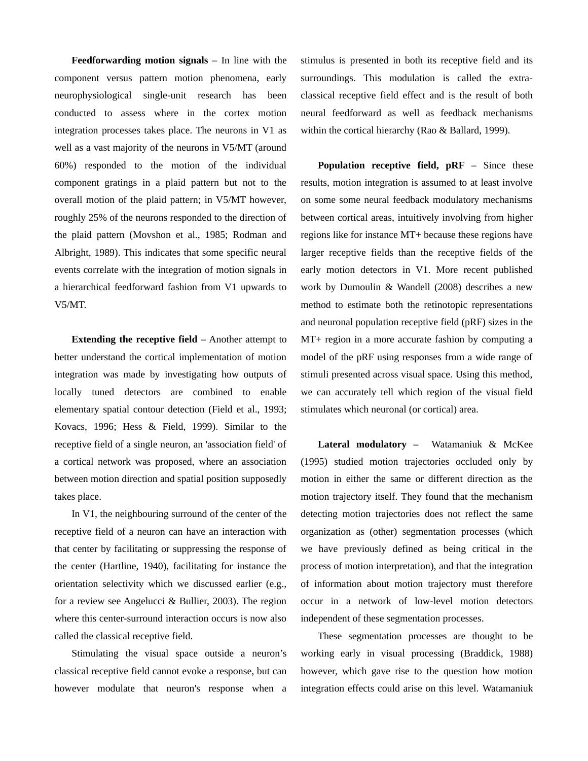**Feedforwarding motion signals –** In line with the component versus pattern motion phenomena, early neurophysiological single-unit research has been conducted to assess where in the cortex motion integration processes takes place. The neurons in V1 as well as a vast majority of the neurons in V5/MT (around 60%) responded to the motion of the individual component gratings in a plaid pattern but not to the overall motion of the plaid pattern; in V5/MT however, roughly 25% of the neurons responded to the direction of the plaid pattern (Movshon et al., 1985; Rodman and Albright, 1989). This indicates that some specific neural events correlate with the integration of motion signals in a hierarchical feedforward fashion from V1 upwards to V5/MT.

**Extending the receptive field –** Another attempt to better understand the cortical implementation of motion integration was made by investigating how outputs of locally tuned detectors are combined to enable elementary spatial contour detection (Field et al., 1993; Kovacs, 1996; Hess & Field, 1999). Similar to the receptive field of a single neuron, an 'association field' of a cortical network was proposed, where an association between motion direction and spatial position supposedly takes place.

In V1, the neighbouring surround of the center of the receptive field of a neuron can have an interaction with that center by facilitating or suppressing the response of the center (Hartline, 1940), facilitating for instance the orientation selectivity which we discussed earlier (e.g., for a review see Angelucci & Bullier, 2003). The region where this center-surround interaction occurs is now also called the classical receptive field.

Stimulating the visual space outside a neuron's classical receptive field cannot evoke a response, but can however modulate that neuron's response when a

stimulus is presented in both its receptive field and its surroundings. This modulation is called the extraclassical receptive field effect and is the result of both neural feedforward as well as feedback mechanisms within the cortical hierarchy (Rao & Ballard, 1999).

**Population receptive field, pRF –** Since these results, motion integration is assumed to at least involve on some some neural feedback modulatory mechanisms between cortical areas, intuitively involving from higher regions like for instance MT+ because these regions have larger receptive fields than the receptive fields of the early motion detectors in V1. More recent published work by Dumoulin & Wandell (2008) describes a new method to estimate both the retinotopic representations and neuronal population receptive field (pRF) sizes in the MT+ region in a more accurate fashion by computing a model of the pRF using responses from a wide range of stimuli presented across visual space. Using this method, we can accurately tell which region of the visual field stimulates which neuronal (or cortical) area.

**Lateral modulatory –** Watamaniuk & McKee (1995) studied motion trajectories occluded only by motion in either the same or different direction as the motion trajectory itself. They found that the mechanism detecting motion trajectories does not reflect the same organization as (other) segmentation processes (which we have previously defined as being critical in the process of motion interpretation), and that the integration of information about motion trajectory must therefore occur in a network of low-level motion detectors independent of these segmentation processes.

These segmentation processes are thought to be working early in visual processing (Braddick, 1988) however, which gave rise to the question how motion integration effects could arise on this level. Watamaniuk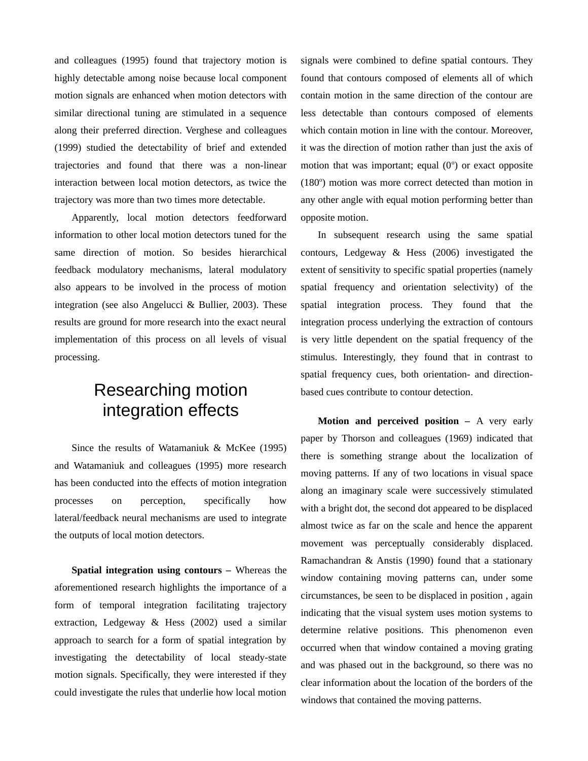and colleagues (1995) found that trajectory motion is highly detectable among noise because local component motion signals are enhanced when motion detectors with similar directional tuning are stimulated in a sequence along their preferred direction. Verghese and colleagues (1999) studied the detectability of brief and extended trajectories and found that there was a non-linear interaction between local motion detectors, as twice the trajectory was more than two times more detectable.

Apparently, local motion detectors feedforward information to other local motion detectors tuned for the same direction of motion. So besides hierarchical feedback modulatory mechanisms, lateral modulatory also appears to be involved in the process of motion integration (see also Angelucci & Bullier, 2003). These results are ground for more research into the exact neural implementation of this process on all levels of visual processing.

# Researching motion integration effects

Since the results of Watamaniuk & McKee (1995) and Watamaniuk and colleagues (1995) more research has been conducted into the effects of motion integration processes on perception, specifically how lateral/feedback neural mechanisms are used to integrate the outputs of local motion detectors.

**Spatial integration using contours –** Whereas the aforementioned research highlights the importance of a form of temporal integration facilitating trajectory extraction, Ledgeway & Hess (2002) used a similar approach to search for a form of spatial integration by investigating the detectability of local steady-state motion signals. Specifically, they were interested if they could investigate the rules that underlie how local motion signals were combined to define spatial contours. They found that contours composed of elements all of which contain motion in the same direction of the contour are less detectable than contours composed of elements which contain motion in line with the contour. Moreover, it was the direction of motion rather than just the axis of motion that was important; equal  $(0^{\circ})$  or exact opposite (180°) motion was more correct detected than motion in any other angle with equal motion performing better than opposite motion.

In subsequent research using the same spatial contours, Ledgeway & Hess (2006) investigated the extent of sensitivity to specific spatial properties (namely spatial frequency and orientation selectivity) of the spatial integration process. They found that the integration process underlying the extraction of contours is very little dependent on the spatial frequency of the stimulus. Interestingly, they found that in contrast to spatial frequency cues, both orientation- and directionbased cues contribute to contour detection.

**Motion and perceived position – A very early** paper by Thorson and colleagues (1969) indicated that there is something strange about the localization of moving patterns. If any of two locations in visual space along an imaginary scale were successively stimulated with a bright dot, the second dot appeared to be displaced almost twice as far on the scale and hence the apparent movement was perceptually considerably displaced. Ramachandran & Anstis (1990) found that a stationary window containing moving patterns can, under some circumstances, be seen to be displaced in position , again indicating that the visual system uses motion systems to determine relative positions. This phenomenon even occurred when that window contained a moving grating and was phased out in the background, so there was no clear information about the location of the borders of the windows that contained the moving patterns.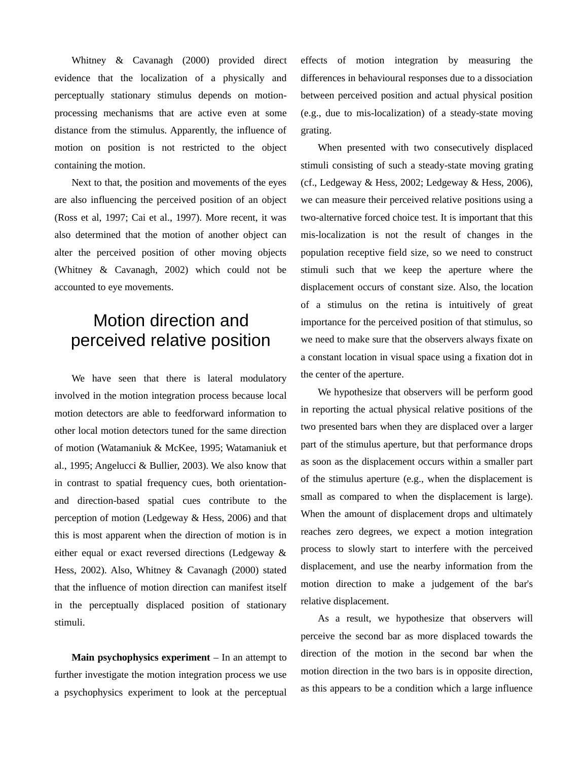Whitney & Cavanagh (2000) provided direct evidence that the localization of a physically and perceptually stationary stimulus depends on motionprocessing mechanisms that are active even at some distance from the stimulus. Apparently, the influence of motion on position is not restricted to the object containing the motion.

Next to that, the position and movements of the eyes are also influencing the perceived position of an object (Ross et al, 1997; Cai et al., 1997). More recent, it was also determined that the motion of another object can alter the perceived position of other moving objects (Whitney & Cavanagh, 2002) which could not be accounted to eye movements.

# Motion direction and perceived relative position

We have seen that there is lateral modulatory involved in the motion integration process because local motion detectors are able to feedforward information to other local motion detectors tuned for the same direction of motion (Watamaniuk & McKee, 1995; Watamaniuk et al., 1995; Angelucci & Bullier, 2003). We also know that in contrast to spatial frequency cues, both orientationand direction-based spatial cues contribute to the perception of motion (Ledgeway & Hess, 2006) and that this is most apparent when the direction of motion is in either equal or exact reversed directions (Ledgeway & Hess, 2002). Also, Whitney & Cavanagh (2000) stated that the influence of motion direction can manifest itself in the perceptually displaced position of stationary stimuli.

**Main psychophysics experiment** – In an attempt to further investigate the motion integration process we use a psychophysics experiment to look at the perceptual effects of motion integration by measuring the differences in behavioural responses due to a dissociation between perceived position and actual physical position (e.g., due to mis-localization) of a steady-state moving grating.

When presented with two consecutively displaced stimuli consisting of such a steady-state moving grating (cf., Ledgeway & Hess, 2002; Ledgeway & Hess, 2006), we can measure their perceived relative positions using a two-alternative forced choice test. It is important that this mis-localization is not the result of changes in the population receptive field size, so we need to construct stimuli such that we keep the aperture where the displacement occurs of constant size. Also, the location of a stimulus on the retina is intuitively of great importance for the perceived position of that stimulus, so we need to make sure that the observers always fixate on a constant location in visual space using a fixation dot in the center of the aperture.

We hypothesize that observers will be perform good in reporting the actual physical relative positions of the two presented bars when they are displaced over a larger part of the stimulus aperture, but that performance drops as soon as the displacement occurs within a smaller part of the stimulus aperture (e.g., when the displacement is small as compared to when the displacement is large). When the amount of displacement drops and ultimately reaches zero degrees, we expect a motion integration process to slowly start to interfere with the perceived displacement, and use the nearby information from the motion direction to make a judgement of the bar's relative displacement.

As a result, we hypothesize that observers will perceive the second bar as more displaced towards the direction of the motion in the second bar when the motion direction in the two bars is in opposite direction, as this appears to be a condition which a large influence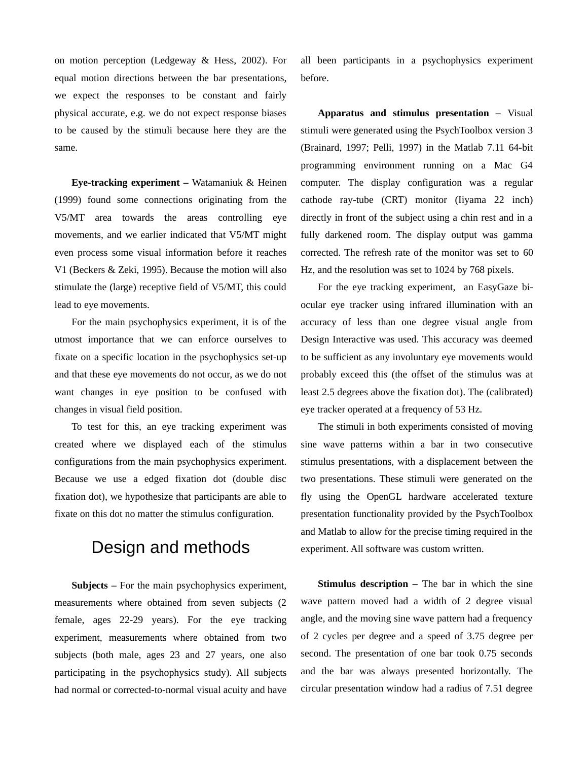on motion perception (Ledgeway & Hess, 2002). For equal motion directions between the bar presentations, we expect the responses to be constant and fairly physical accurate, e.g. we do not expect response biases to be caused by the stimuli because here they are the same.

**Eye-tracking experiment –** Watamaniuk & Heinen (1999) found some connections originating from the V5/MT area towards the areas controlling eye movements, and we earlier indicated that V5/MT might even process some visual information before it reaches V1 (Beckers & Zeki, 1995). Because the motion will also stimulate the (large) receptive field of V5/MT, this could lead to eye movements.

For the main psychophysics experiment, it is of the utmost importance that we can enforce ourselves to fixate on a specific location in the psychophysics set-up and that these eye movements do not occur, as we do not want changes in eye position to be confused with changes in visual field position.

To test for this, an eye tracking experiment was created where we displayed each of the stimulus configurations from the main psychophysics experiment. Because we use a edged fixation dot (double disc fixation dot), we hypothesize that participants are able to fixate on this dot no matter the stimulus configuration.

### Design and methods

**Subjects –** For the main psychophysics experiment, measurements where obtained from seven subjects (2 female, ages 22-29 years). For the eye tracking experiment, measurements where obtained from two subjects (both male, ages 23 and 27 years, one also participating in the psychophysics study). All subjects had normal or corrected-to-normal visual acuity and have

all been participants in a psychophysics experiment before.

**Apparatus and stimulus presentation –** Visual stimuli were generated using the PsychToolbox version 3 (Brainard, 1997; Pelli, 1997) in the Matlab 7.11 64-bit programming environment running on a Mac G4 computer. The display configuration was a regular cathode ray-tube (CRT) monitor (Iiyama 22 inch) directly in front of the subject using a chin rest and in a fully darkened room. The display output was gamma corrected. The refresh rate of the monitor was set to 60 Hz, and the resolution was set to 1024 by 768 pixels.

For the eye tracking experiment, an EasyGaze biocular eye tracker using infrared illumination with an accuracy of less than one degree visual angle from Design Interactive was used. This accuracy was deemed to be sufficient as any involuntary eye movements would probably exceed this (the offset of the stimulus was at least 2.5 degrees above the fixation dot). The (calibrated) eye tracker operated at a frequency of 53 Hz.

The stimuli in both experiments consisted of moving sine wave patterns within a bar in two consecutive stimulus presentations, with a displacement between the two presentations. These stimuli were generated on the fly using the OpenGL hardware accelerated texture presentation functionality provided by the PsychToolbox and Matlab to allow for the precise timing required in the experiment. All software was custom written.

**Stimulus description – The bar in which the sine** wave pattern moved had a width of 2 degree visual angle, and the moving sine wave pattern had a frequency of 2 cycles per degree and a speed of 3.75 degree per second. The presentation of one bar took 0.75 seconds and the bar was always presented horizontally. The circular presentation window had a radius of 7.51 degree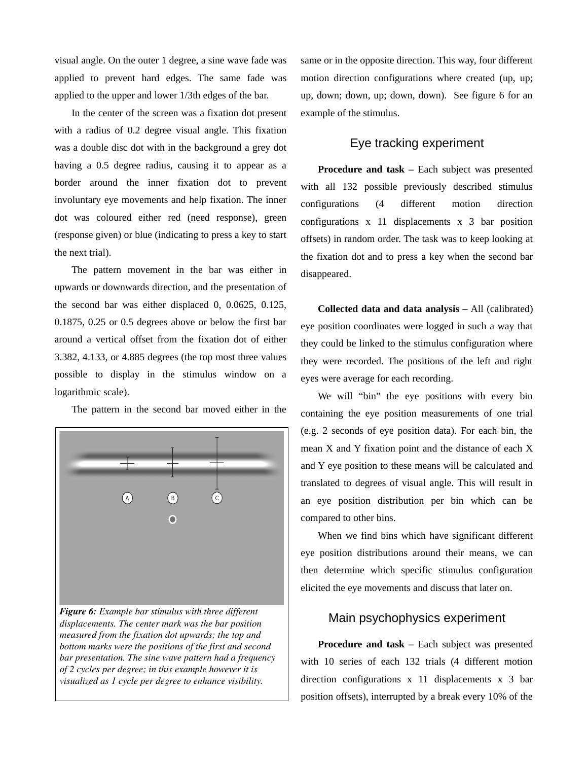visual angle. On the outer 1 degree, a sine wave fade was applied to prevent hard edges. The same fade was applied to the upper and lower 1/3th edges of the bar.

In the center of the screen was a fixation dot present with a radius of 0.2 degree visual angle. This fixation was a double disc dot with in the background a grey dot having a 0.5 degree radius, causing it to appear as a border around the inner fixation dot to prevent involuntary eye movements and help fixation. The inner dot was coloured either red (need response), green (response given) or blue (indicating to press a key to start the next trial).

The pattern movement in the bar was either in upwards or downwards direction, and the presentation of the second bar was either displaced 0, 0.0625, 0.125, 0.1875, 0.25 or 0.5 degrees above or below the first bar around a vertical offset from the fixation dot of either 3.382, 4.133, or 4.885 degrees (the top most three values possible to display in the stimulus window on a logarithmic scale).

The pattern in the second bar moved either in the



*Figure 6: Example bar stimulus with three different displacements. The center mark was the bar position measured from the fixation dot upwards; the top and bottom marks were the positions of the first and second bar presentation. The sine wave pattern had a frequency of 2 cycles per degree; in this example however it is visualized as 1 cycle per degree to enhance visibility.*

same or in the opposite direction. This way, four different motion direction configurations where created (up, up; up, down; down, up; down, down). See figure 6 for an example of the stimulus.

#### Eye tracking experiment

**Procedure and task –** Each subject was presented with all 132 possible previously described stimulus configurations (4 different motion direction configurations x 11 displacements x 3 bar position offsets) in random order. The task was to keep looking at the fixation dot and to press a key when the second bar disappeared.

**Collected data and data analysis –** All (calibrated) eye position coordinates were logged in such a way that they could be linked to the stimulus configuration where they were recorded. The positions of the left and right eyes were average for each recording.

We will "bin" the eye positions with every bin containing the eye position measurements of one trial (e.g. 2 seconds of eye position data). For each bin, the mean X and Y fixation point and the distance of each X and Y eye position to these means will be calculated and translated to degrees of visual angle. This will result in an eye position distribution per bin which can be compared to other bins.

When we find bins which have significant different eye position distributions around their means, we can then determine which specific stimulus configuration elicited the eye movements and discuss that later on.

#### Main psychophysics experiment

**Procedure and task –** Each subject was presented with 10 series of each 132 trials (4 different motion direction configurations x 11 displacements x 3 bar position offsets), interrupted by a break every 10% of the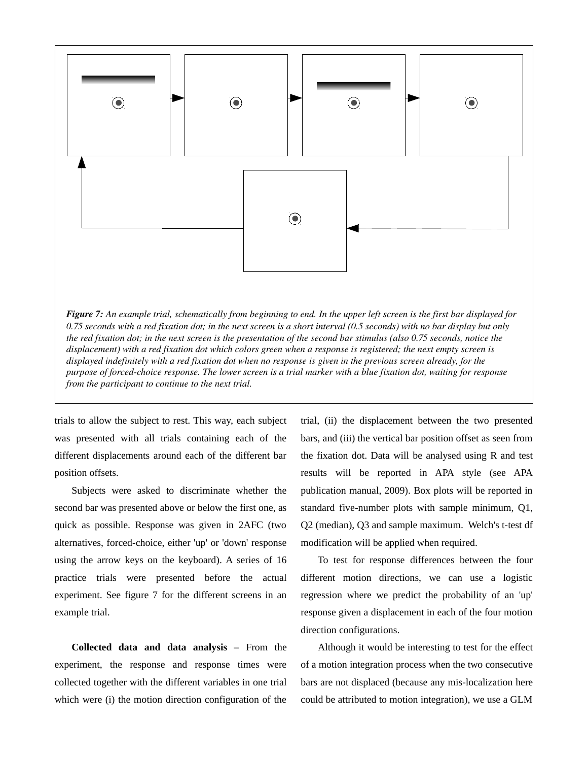

trials to allow the subject to rest. This way, each subject was presented with all trials containing each of the different displacements around each of the different bar position offsets.

Subjects were asked to discriminate whether the second bar was presented above or below the first one, as quick as possible. Response was given in 2AFC (two alternatives, forced-choice, either 'up' or 'down' response using the arrow keys on the keyboard). A series of 16 practice trials were presented before the actual experiment. See figure 7 for the different screens in an example trial.

**Collected data and data analysis –** From the experiment, the response and response times were collected together with the different variables in one trial which were (i) the motion direction configuration of the trial, (ii) the displacement between the two presented bars, and (iii) the vertical bar position offset as seen from the fixation dot. Data will be analysed using R and test results will be reported in APA style (see APA publication manual, 2009). Box plots will be reported in standard five-number plots with sample minimum, Q1, Q2 (median), Q3 and sample maximum. Welch's t-test df modification will be applied when required.

To test for response differences between the four different motion directions, we can use a logistic regression where we predict the probability of an 'up' response given a displacement in each of the four motion direction configurations.

Although it would be interesting to test for the effect of a motion integration process when the two consecutive bars are not displaced (because any mis-localization here could be attributed to motion integration), we use a GLM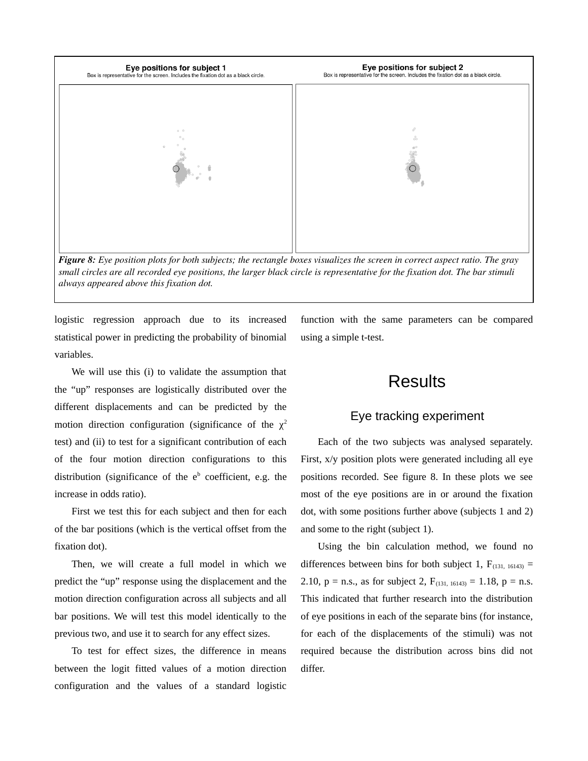

*small circles are all recorded eye positions, the larger black circle is representative for the fixation dot. The bar stimuli always appeared above this fixation dot.*

logistic regression approach due to its increased statistical power in predicting the probability of binomial variables.

We will use this (i) to validate the assumption that the "up" responses are logistically distributed over the different displacements and can be predicted by the motion direction configuration (significance of the  $\chi^2$ test) and (ii) to test for a significant contribution of each of the four motion direction configurations to this distribution (significance of the  $e<sup>b</sup>$  coefficient, e.g. the increase in odds ratio).

First we test this for each subject and then for each of the bar positions (which is the vertical offset from the fixation dot).

Then, we will create a full model in which we predict the "up" response using the displacement and the motion direction configuration across all subjects and all bar positions. We will test this model identically to the previous two, and use it to search for any effect sizes.

To test for effect sizes, the difference in means between the logit fitted values of a motion direction configuration and the values of a standard logistic

function with the same parameters can be compared using a simple t-test.

### **Results**

### Eye tracking experiment

Each of the two subjects was analysed separately. First, x/y position plots were generated including all eye positions recorded. See figure 8. In these plots we see most of the eye positions are in or around the fixation dot, with some positions further above (subjects 1 and 2) and some to the right (subject 1).

Using the bin calculation method, we found no differences between bins for both subject 1,  $F_{(131, 16143)}$  = 2.10,  $p = n.s.,$  as for subject 2,  $F_{(131, 16143)} = 1.18, p = n.s.$ This indicated that further research into the distribution of eye positions in each of the separate bins (for instance, for each of the displacements of the stimuli) was not required because the distribution across bins did not differ.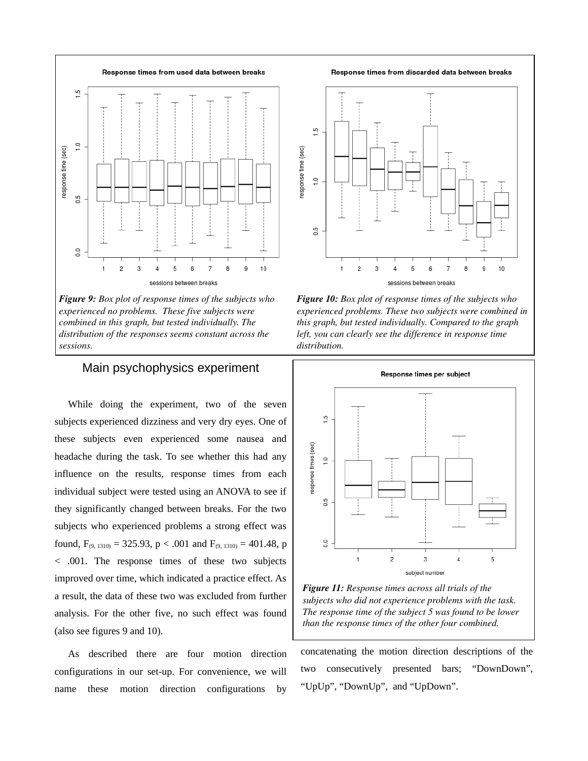

*Figure 9: Box plot of response times of the subjects who experienced no problems. These five subjects were combined in this graph, but tested individually. The distribution of the responses seems constant across the sessions.*

#### Main psychophysics experiment

While doing the experiment, two of the seven subjects experienced dizziness and very dry eyes. One of these subjects even experienced some nausea and headache during the task. To see whether this had any influence on the results, response times from each individual subject were tested using an ANOVA to see if they significantly changed between breaks. For the two subjects who experienced problems a strong effect was found,  $F_{(9, 1310)} = 325.93$ ,  $p < .001$  and  $F_{(9, 1310)} = 401.48$ , p < .001. The response times of these two subjects improved over time, which indicated a practice effect. As a result, the data of these two was excluded from further analysis. For the other five, no such effect was found (also see figures 9 and 10).

As described there are four motion direction configurations in our set-up. For convenience, we will name these motion direction configurations by

Response times from discarded data between breaks



*Figure 10: Box plot of response times of the subjects who experienced problems. These two subjects were combined in this graph, but tested individually. Compared to the graph left, you can clearly see the difference in response time distribution.*



*Figure 11: Response times across all trials of the subjects who did not experience problems with the task. The response time of the subject 5 was found to be lower than the response times of the other four combined.*

concatenating the motion direction descriptions of the two consecutively presented bars; "DownDown", "UpUp", "DownUp", and "UpDown".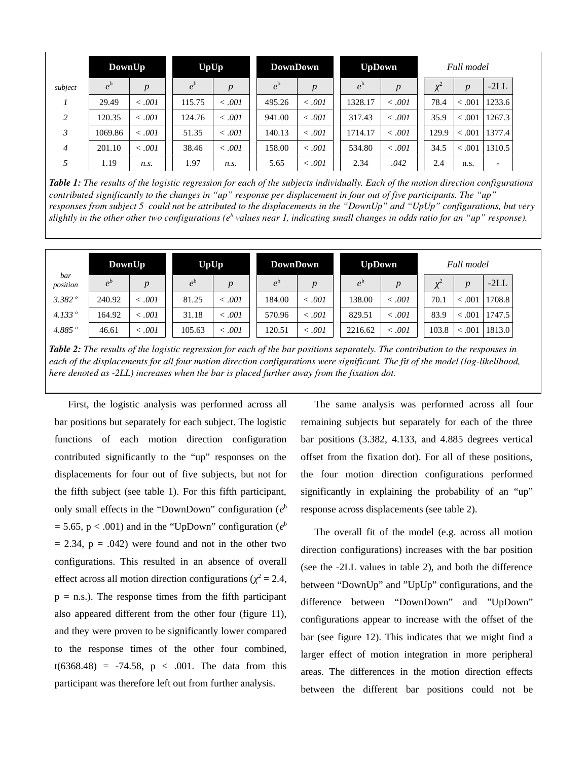|                | DownUp      |         | <b>UpUp</b> |             | <b>DownDown</b> |                  | <b>UpDown</b> |             |  | Full model |                  |                          |  |
|----------------|-------------|---------|-------------|-------------|-----------------|------------------|---------------|-------------|--|------------|------------------|--------------------------|--|
| subject        | $e^{\rm b}$ | p       | $e^{\rm b}$ | p           | $e^{\rm b}$     | $\boldsymbol{p}$ | $e^{\rm b}$   | p           |  | $\chi^2$   | $\boldsymbol{p}$ | $-2LL$                   |  |
| $\overline{ }$ | 29.49       | < 0.001 | 115.75      | $\leq .001$ | 495.26          | $\leq .001$      | 1328.17       | $\leq .001$ |  | 78.4       | < 0.001          | 1233.6                   |  |
| 2              | 120.35      | < 0.001 | 124.76      | < 0.001     | 941.00          | $\leq .001$      | 317.43        | $\leq .001$ |  | 35.9       | < 0.001          | 1267.3                   |  |
| 3              | 1069.86     | < 0.001 | 51.35       | $\leq .001$ | 140.13          | $\leq .001$      | 1714.17       | $\leq .001$ |  | 129.9      | < 0.001          | 1377.4                   |  |
| $\overline{4}$ | 201.10      | < 0.001 | 38.46       | < 0.001     | 158.00          | $\leq .001$      | 534.80        | $\leq .001$ |  | 34.5       | < 0.001          | 1310.5                   |  |
| 5              | 1.19        | n.s.    | 1.97        | n.s.        | 5.65            | < .001           | 2.34          | .042        |  | 2.4        | n.s.             | $\overline{\phantom{0}}$ |  |

*Table 1: The results of the logistic regression for each of the subjects individually. Each of the motion direction configurations contributed significantly to the changes in "up" response per displacement in four out of five participants. The "up" responses from subject 5 could not be attributed to the displacements in the "DownUp" and "UpUp" configurations, but very* slightly in the other other two configurations (e<sup>b</sup> values near 1, indicating small changes in odds ratio for an "up" response).

|                  | DownUp       |             | <b>UpUp</b> |             | <b>DownDown</b> |             | <b>UpDown</b> |         | Full model |                  |        |
|------------------|--------------|-------------|-------------|-------------|-----------------|-------------|---------------|---------|------------|------------------|--------|
| bar<br>position  | $e^{\theta}$ | D           | $e^{\rm b}$ | D           | $e^{\rm b}$     | D           | $e^{\rm b}$   | p       | $\chi^2$   | $\boldsymbol{D}$ | $-2LL$ |
| 3.382°           | 240.92       | $\leq .001$ | 81.25       | < 0.001     | 184.00          | $\leq .001$ | 138.00        | < 0.001 | 70.1       | .001             | 1708.8 |
| 4.133 $^{\circ}$ | 164.92       | $\leq .001$ | 31.18       | $\leq .001$ | 570.96          | $\leq .001$ | 829.51        | < 0.001 | 83.9       | .001             | 1747.5 |
| 4.885 $^{\circ}$ | 46.61        | < .001      | 105.63      | < 0.001     | 120.51          | $\leq .001$ | 2216.62       | < 0.001 | 103.8      | .001             | 1813.0 |

*Table 2: The results of the logistic regression for each of the bar positions separately. The contribution to the responses in* each of the displacements for all four motion direction configurations were significant. The fit of the model (log-likelihood, *here denoted as 2LL) increases when the bar is placed further away from the fixation dot.*

First, the logistic analysis was performed across all bar positions but separately for each subject. The logistic functions of each motion direction configuration contributed significantly to the "up" responses on the displacements for four out of five subjects, but not for the fifth subject (see table 1). For this fifth participant, only small effects in the "DownDown" configuration (*e* b  $=$  5.65, p  $\le$  .001) and in the "UpDown" configuration ( $e<sup>b</sup>$  $= 2.34$ ,  $p = .042$ ) were found and not in the other two configurations. This resulted in an absence of overall effect across all motion direction configurations ( $\chi^2$  = 2.4,  $p = n.s$ .). The response times from the fifth participant also appeared different from the other four (figure 11), and they were proven to be significantly lower compared to the response times of the other four combined,  $t(6368.48) = -74.58$ ,  $p < .001$ . The data from this participant was therefore left out from further analysis.

The same analysis was performed across all four remaining subjects but separately for each of the three bar positions (3.382, 4.133, and 4.885 degrees vertical offset from the fixation dot). For all of these positions, the four motion direction configurations performed significantly in explaining the probability of an "up" response across displacements (see table 2).

The overall fit of the model (e.g. across all motion direction configurations) increases with the bar position (see the -2LL values in table 2), and both the difference between "DownUp" and "UpUp" configurations, and the difference between "DownDown" and "UpDown" configurations appear to increase with the offset of the bar (see figure 12). This indicates that we might find a larger effect of motion integration in more peripheral areas. The differences in the motion direction effects between the different bar positions could not be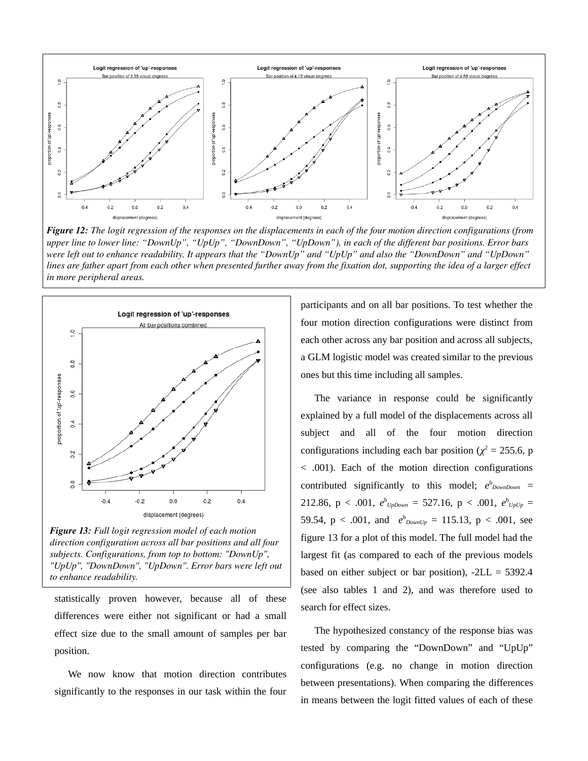

*Figure 12: The logit regression of the responses on the displacements in each of the four motion direction configurations (from upper line to lower line: "DownUp", "UpUp", "DownDown", "UpDown"), in each of the different bar positions. Error bars were left out to enhance readability. It appears that the "DownUp" and "UpUp" and also the "DownDown" and "UpDown" lines are father apart from each other when presented further away from the fixation dot, supporting the idea of a larger effect in more peripheral areas.*



*Figure 13: Full logit regression model of each motion direction configuration across all bar positions and all four subjects. Configurations, from top to bottom: "DownUp", "UpUp", "DownDown", "UpDown". Error bars were left out to enhance readability.* 

statistically proven however, because all of these differences were either not significant or had a small effect size due to the small amount of samples per bar position.

We now know that motion direction contributes significantly to the responses in our task within the four participants and on all bar positions. To test whether the four motion direction configurations were distinct from each other across any bar position and across all subjects, a GLM logistic model was created similar to the previous ones but this time including all samples.

The variance in response could be significantly explained by a full model of the displacements across all subject and all of the four motion direction configurations including each bar position ( $\chi^2$  = 255.6, p < .001). Each of the motion direction configurations contributed significantly to this model;  $e_{DownDown}^b$  = 212.86,  $p < .001$ ,  $e^{b}$ <sub>UpDown</sub> = 527.16,  $p < .001$ ,  $e^{b}$ <sub>UpUp</sub> = 59.54,  $p < .001$ , and  $e_{DownUp}^b = 115.13$ ,  $p < .001$ , see figure 13 for a plot of this model. The full model had the largest fit (as compared to each of the previous models based on either subject or bar position),  $-2LL = 5392.4$ (see also tables 1 and 2), and was therefore used to search for effect sizes.

The hypothesized constancy of the response bias was tested by comparing the "DownDown" and "UpUp" configurations (e.g. no change in motion direction between presentations). When comparing the differences in means between the logit fitted values of each of these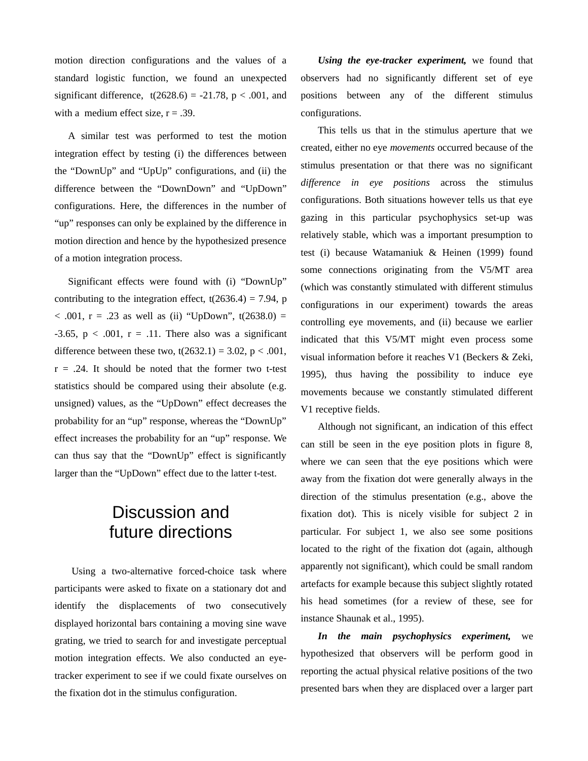motion direction configurations and the values of a standard logistic function, we found an unexpected significant difference,  $t(2628.6) = -21.78$ ,  $p < .001$ , and with a medium effect size,  $r = .39$ .

A similar test was performed to test the motion integration effect by testing (i) the differences between the "DownUp" and "UpUp" configurations, and (ii) the difference between the "DownDown" and "UpDown" configurations. Here, the differences in the number of "up" responses can only be explained by the difference in motion direction and hence by the hypothesized presence of a motion integration process.

Significant effects were found with (i) "DownUp" contributing to the integration effect,  $t(2636.4) = 7.94$ , p  $<$  .001, r = .23 as well as (ii) "UpDown", t(2638.0) = -3.65,  $p < .001$ ,  $r = .11$ . There also was a significant difference between these two,  $t(2632.1) = 3.02$ ,  $p < .001$ ,  $r = .24$ . It should be noted that the former two t-test statistics should be compared using their absolute (e.g. unsigned) values, as the "UpDown" effect decreases the probability for an "up" response, whereas the "DownUp" effect increases the probability for an "up" response. We can thus say that the "DownUp" effect is significantly larger than the "UpDown" effect due to the latter t-test.

# Discussion and future directions

Using a two-alternative forced-choice task where participants were asked to fixate on a stationary dot and identify the displacements of two consecutively displayed horizontal bars containing a moving sine wave grating, we tried to search for and investigate perceptual motion integration effects. We also conducted an eyetracker experiment to see if we could fixate ourselves on the fixation dot in the stimulus configuration.

*Using the eye-tracker experiment,* we found that observers had no significantly different set of eye positions between any of the different stimulus configurations.

This tells us that in the stimulus aperture that we created, either no eye *movements* occurred because of the stimulus presentation or that there was no significant *difference in eye positions* across the stimulus configurations. Both situations however tells us that eye gazing in this particular psychophysics set-up was relatively stable, which was a important presumption to test (i) because Watamaniuk & Heinen (1999) found some connections originating from the V5/MT area (which was constantly stimulated with different stimulus configurations in our experiment) towards the areas controlling eye movements, and (ii) because we earlier indicated that this V5/MT might even process some visual information before it reaches V1 (Beckers & Zeki, 1995), thus having the possibility to induce eye movements because we constantly stimulated different V1 receptive fields.

Although not significant, an indication of this effect can still be seen in the eye position plots in figure 8, where we can seen that the eye positions which were away from the fixation dot were generally always in the direction of the stimulus presentation (e.g., above the fixation dot). This is nicely visible for subject 2 in particular. For subject 1, we also see some positions located to the right of the fixation dot (again, although apparently not significant), which could be small random artefacts for example because this subject slightly rotated his head sometimes (for a review of these, see for instance Shaunak et al., 1995).

*In the main psychophysics experiment,* we hypothesized that observers will be perform good in reporting the actual physical relative positions of the two presented bars when they are displaced over a larger part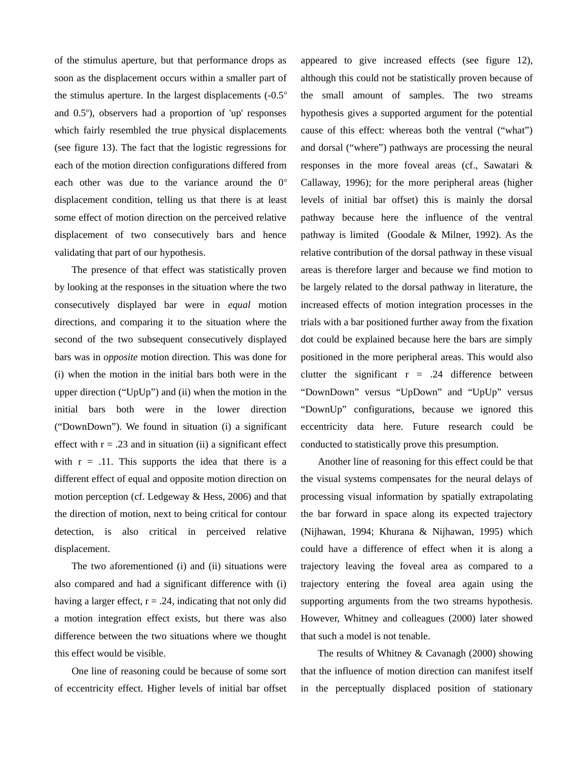of the stimulus aperture, but that performance drops as soon as the displacement occurs within a smaller part of the stimulus aperture. In the largest displacements  $(-0.5<sup>o</sup>)$ and 0.5°), observers had a proportion of 'up' responses which fairly resembled the true physical displacements (see figure 13). The fact that the logistic regressions for each of the motion direction configurations differed from each other was due to the variance around the  $0^{\circ}$ displacement condition, telling us that there is at least some effect of motion direction on the perceived relative displacement of two consecutively bars and hence validating that part of our hypothesis.

The presence of that effect was statistically proven by looking at the responses in the situation where the two consecutively displayed bar were in *equal* motion directions, and comparing it to the situation where the second of the two subsequent consecutively displayed bars was in *opposite* motion direction. This was done for (i) when the motion in the initial bars both were in the upper direction ("UpUp") and (ii) when the motion in the initial bars both were in the lower direction ("DownDown"). We found in situation (i) a significant effect with  $r = .23$  and in situation (ii) a significant effect with  $r = .11$ . This supports the idea that there is a different effect of equal and opposite motion direction on motion perception (cf. Ledgeway & Hess, 2006) and that the direction of motion, next to being critical for contour detection, is also critical in perceived relative displacement.

The two aforementioned (i) and (ii) situations were also compared and had a significant difference with (i) having a larger effect,  $r = .24$ , indicating that not only did a motion integration effect exists, but there was also difference between the two situations where we thought this effect would be visible.

One line of reasoning could be because of some sort of eccentricity effect. Higher levels of initial bar offset appeared to give increased effects (see figure 12), although this could not be statistically proven because of the small amount of samples. The two streams hypothesis gives a supported argument for the potential cause of this effect: whereas both the ventral ("what") and dorsal ("where") pathways are processing the neural responses in the more foveal areas (cf., Sawatari & Callaway, 1996); for the more peripheral areas (higher levels of initial bar offset) this is mainly the dorsal pathway because here the influence of the ventral pathway is limited (Goodale & Milner, 1992). As the relative contribution of the dorsal pathway in these visual areas is therefore larger and because we find motion to be largely related to the dorsal pathway in literature, the increased effects of motion integration processes in the trials with a bar positioned further away from the fixation dot could be explained because here the bars are simply positioned in the more peripheral areas. This would also clutter the significant  $r = .24$  difference between "DownDown" versus "UpDown" and "UpUp" versus "DownUp" configurations, because we ignored this eccentricity data here. Future research could be conducted to statistically prove this presumption.

Another line of reasoning for this effect could be that the visual systems compensates for the neural delays of processing visual information by spatially extrapolating the bar forward in space along its expected trajectory (Nijhawan, 1994; Khurana & Nijhawan, 1995) which could have a difference of effect when it is along a trajectory leaving the foveal area as compared to a trajectory entering the foveal area again using the supporting arguments from the two streams hypothesis. However, Whitney and colleagues (2000) later showed that such a model is not tenable.

The results of Whitney & Cavanagh (2000) showing that the influence of motion direction can manifest itself in the perceptually displaced position of stationary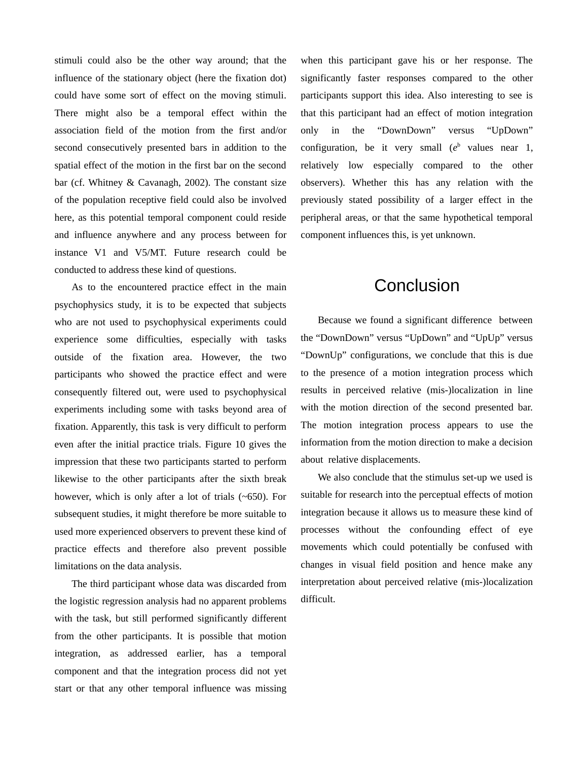stimuli could also be the other way around; that the influence of the stationary object (here the fixation dot) could have some sort of effect on the moving stimuli. There might also be a temporal effect within the association field of the motion from the first and/or second consecutively presented bars in addition to the spatial effect of the motion in the first bar on the second bar (cf. Whitney & Cavanagh, 2002). The constant size of the population receptive field could also be involved here, as this potential temporal component could reside and influence anywhere and any process between for instance V1 and V5/MT. Future research could be conducted to address these kind of questions.

As to the encountered practice effect in the main psychophysics study, it is to be expected that subjects who are not used to psychophysical experiments could experience some difficulties, especially with tasks outside of the fixation area. However, the two participants who showed the practice effect and were consequently filtered out, were used to psychophysical experiments including some with tasks beyond area of fixation. Apparently, this task is very difficult to perform even after the initial practice trials. Figure 10 gives the impression that these two participants started to perform likewise to the other participants after the sixth break however, which is only after a lot of trials (~650). For subsequent studies, it might therefore be more suitable to used more experienced observers to prevent these kind of practice effects and therefore also prevent possible limitations on the data analysis.

The third participant whose data was discarded from the logistic regression analysis had no apparent problems with the task, but still performed significantly different from the other participants. It is possible that motion integration, as addressed earlier, has a temporal component and that the integration process did not yet start or that any other temporal influence was missing when this participant gave his or her response. The significantly faster responses compared to the other participants support this idea. Also interesting to see is that this participant had an effect of motion integration only in the "DownDown" versus "UpDown" configuration, be it very small (*e* b values near 1, relatively low especially compared to the other observers). Whether this has any relation with the previously stated possibility of a larger effect in the peripheral areas, or that the same hypothetical temporal component influences this, is yet unknown.

### **Conclusion**

Because we found a significant difference between the "DownDown" versus "UpDown" and "UpUp" versus "DownUp" configurations, we conclude that this is due to the presence of a motion integration process which results in perceived relative (mis-)localization in line with the motion direction of the second presented bar. The motion integration process appears to use the information from the motion direction to make a decision about relative displacements.

We also conclude that the stimulus set-up we used is suitable for research into the perceptual effects of motion integration because it allows us to measure these kind of processes without the confounding effect of eye movements which could potentially be confused with changes in visual field position and hence make any interpretation about perceived relative (mis-)localization difficult.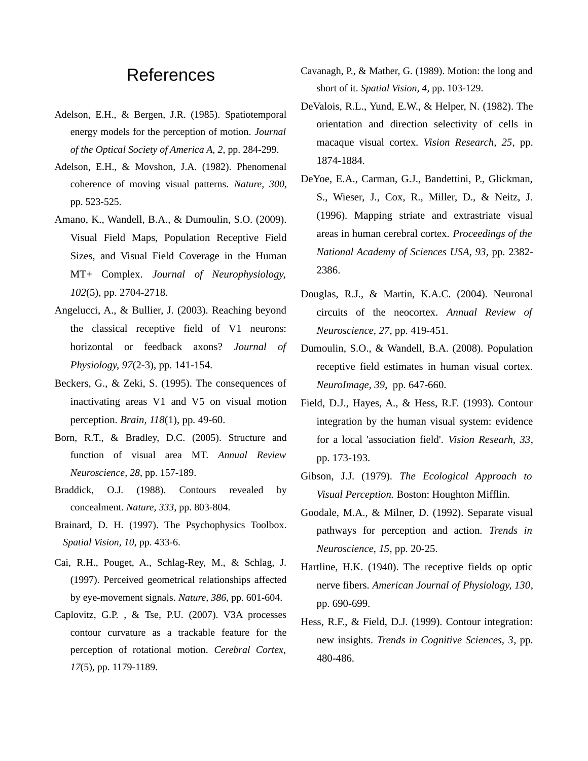### **References**

- Adelson, E.H., & Bergen, J.R. (1985). Spatiotemporal energy models for the perception of motion. *Journal of the Optical Society of America A, 2*, pp. 284-299.
- Adelson, E.H., & Movshon, J.A. (1982). Phenomenal coherence of moving visual patterns. *Nature, 300,* pp. 523-525.
- Amano, K., Wandell, B.A., & Dumoulin, S.O. (2009). Visual Field Maps, Population Receptive Field Sizes, and Visual Field Coverage in the Human MT+ Complex. *Journal of Neurophysiology, 102*(5), pp. 2704-2718.
- Angelucci, A., & Bullier, J. (2003). Reaching beyond the classical receptive field of V1 neurons: horizontal or feedback axons? *Journal of Physiology, 97*(2-3), pp. 141-154.
- Beckers, G., & Zeki, S. (1995). The consequences of inactivating areas V1 and V5 on visual motion perception. *Brain, 118*(1), pp. 49-60.
- Born, R.T., & Bradley, D.C. (2005). Structure and function of visual area MT. *Annual Review Neuroscience, 28*, pp. 157-189.
- Braddick, O.J. (1988). Contours revealed by concealment. *Nature, 333*, pp. 803-804.
- Brainard, D. H. (1997). The Psychophysics Toolbox. *Spatial Vision, 10*, pp. 433-6.
- Cai, R.H., Pouget, A., Schlag-Rey, M., & Schlag, J. (1997). Perceived geometrical relationships affected by eye-movement signals. *Nature, 386*, pp. 601-604.
- Caplovitz, G.P. , & Tse, P.U. (2007). V3A processes contour curvature as a trackable feature for the perception of rotational motion. *Cerebral Cortex, 17*(5), pp. 1179-1189.
- Cavanagh, P., & Mather, G. (1989). Motion: the long and short of it. *Spatial Vision, 4*, pp. 103-129.
- DeValois, R.L., Yund, E.W., & Helper, N. (1982). The orientation and direction selectivity of cells in macaque visual cortex. *Vision Research, 25*, pp. 1874-1884.
- DeYoe, E.A., Carman, G.J., Bandettini, P., Glickman, S., Wieser, J., Cox, R., Miller, D., & Neitz, J. (1996). Mapping striate and extrastriate visual areas in human cerebral cortex. *Proceedings of the National Academy of Sciences USA, 93*, pp. 2382- 2386.
- Douglas, R.J., & Martin, K.A.C. (2004). Neuronal circuits of the neocortex. *Annual Review of Neuroscience, 27*, pp. 419-451.
- Dumoulin, S.O., & Wandell, B.A. (2008). Population receptive field estimates in human visual cortex. *NeuroImage, 39*, pp. 647-660.
- Field, D.J., Hayes, A., & Hess, R.F. (1993). Contour integration by the human visual system: evidence for a local 'association field'. *Vision Researh, 33*, pp. 173-193.
- Gibson, J.J. (1979). *The Ecological Approach to Visual Perception.* Boston: Houghton Mifflin.
- Goodale, M.A., & Milner, D. (1992). Separate visual pathways for perception and action. *Trends in Neuroscience, 15*, pp. 20-25.
- Hartline, H.K. (1940). The receptive fields op optic nerve fibers. *American Journal of Physiology, 130*, pp. 690-699.
- Hess, R.F., & Field, D.J. (1999). Contour integration: new insights. *Trends in Cognitive Sciences, 3*, pp. 480-486.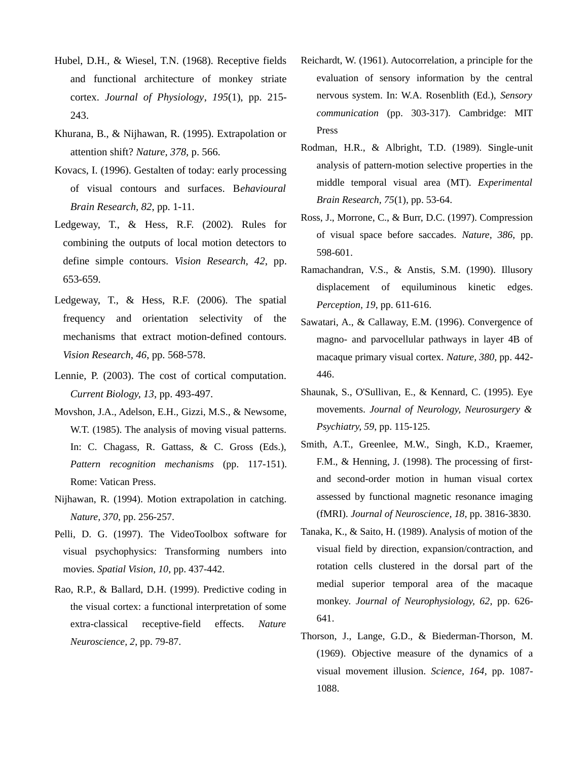- Hubel, D.H., & Wiesel, T.N. (1968). Receptive fields and functional architecture of monkey striate cortex. *Journal of Physiology*, *195*(1), pp. 215- 243.
- Khurana, B., & Nijhawan, R. (1995). Extrapolation or attention shift? *Nature, 378,* p. 566.
- Kovacs, I. (1996). Gestalten of today: early processing of visual contours and surfaces. B*ehavioural Brain Research, 82*, pp. 1-11.
- Ledgeway, T., & Hess, R.F. (2002). Rules for combining the outputs of local motion detectors to define simple contours. *Vision Research, 42*, pp. 653-659.
- Ledgeway, T., & Hess, R.F. (2006). The spatial frequency and orientation selectivity of the mechanisms that extract motion-defined contours. *Vision Research, 46*, pp. 568-578.
- Lennie, P. (2003). The cost of cortical computation. *Current Biology, 13*, pp. 493-497.
- Movshon, J.A., Adelson, E.H., Gizzi, M.S., & Newsome, W.T. (1985). The analysis of moving visual patterns. In: C. Chagass, R. Gattass, & C. Gross (Eds.), *Pattern recognition mechanisms* (pp. 117-151). Rome: Vatican Press.
- Nijhawan, R. (1994). Motion extrapolation in catching. *Nature, 370*, pp. 256-257.
- Pelli, D. G. (1997). The VideoToolbox software for visual psychophysics: Transforming numbers into movies. *Spatial Vision, 10*, pp. 437-442.
- Rao, R.P., & Ballard, D.H. (1999). Predictive coding in the visual cortex: a functional interpretation of some extra-classical receptive-field effects. *Nature Neuroscience, 2*, pp. 79-87.
- Reichardt, W. (1961). Autocorrelation, a principle for the evaluation of sensory information by the central nervous system. In: W.A. Rosenblith (Ed.), *Sensory communication* (pp. 303-317). Cambridge: MIT Press
- Rodman, H.R., & Albright, T.D. (1989). Single-unit analysis of pattern-motion selective properties in the middle temporal visual area (MT). *Experimental Brain Research, 75*(1), pp. 53-64.
- Ross, J., Morrone, C., & Burr, D.C. (1997). Compression of visual space before saccades. *Nature, 386*, pp. 598-601.
- Ramachandran, V.S., & Anstis, S.M. (1990). Illusory displacement of equiluminous kinetic edges. *Perception, 19*, pp. 611-616.
- Sawatari, A., & Callaway, E.M. (1996). Convergence of magno- and parvocellular pathways in layer 4B of macaque primary visual cortex. *Nature, 380*, pp. 442- 446.
- Shaunak, S., O'Sullivan, E., & Kennard, C. (1995). Eye movements. *Journal of Neurology, Neurosurgery & Psychiatry, 59*, pp. 115-125.
- Smith, A.T., Greenlee, M.W., Singh, K.D., Kraemer, F.M., & Henning, J. (1998). The processing of firstand second-order motion in human visual cortex assessed by functional magnetic resonance imaging (fMRI). *Journal of Neuroscience, 18*, pp. 3816-3830.
- Tanaka, K., & Saito, H. (1989). Analysis of motion of the visual field by direction, expansion/contraction, and rotation cells clustered in the dorsal part of the medial superior temporal area of the macaque monkey. *Journal of Neurophysiology, 62*, pp. 626- 641.
- Thorson, J., Lange, G.D., & Biederman-Thorson, M. (1969). Objective measure of the dynamics of a visual movement illusion. *Science, 164*, pp. 1087- 1088.